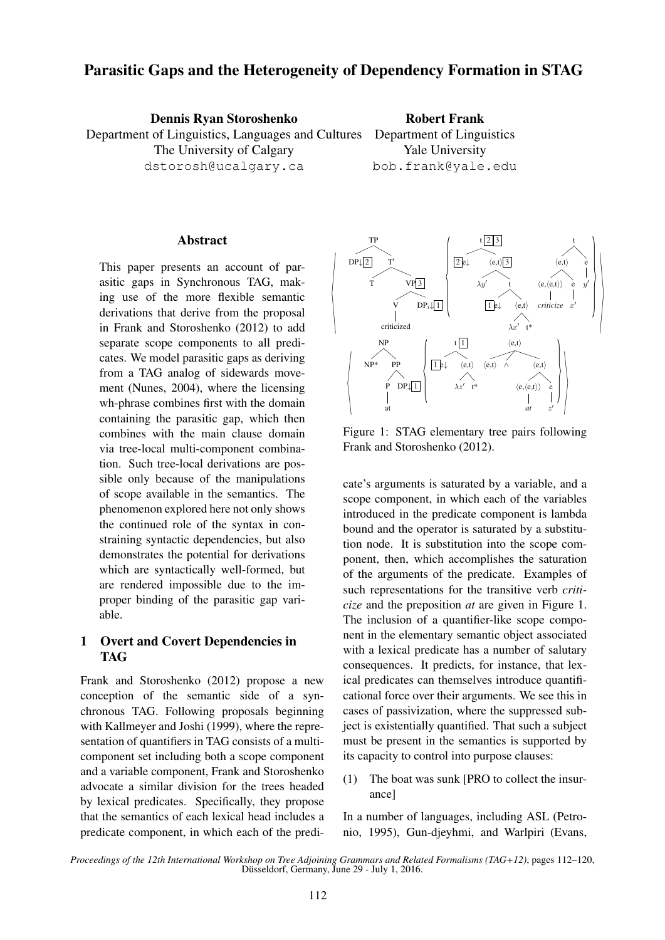# Parasitic Gaps and the Heterogeneity of Dependency Formation in STAG

Dennis Ryan Storoshenko Department of Linguistics, Languages and Cultures The University of Calgary dstorosh@ucalgary.ca Robert Frank Department of Linguistics Yale University bob.frank@yale.edu

### Abstract

This paper presents an account of parasitic gaps in Synchronous TAG, making use of the more flexible semantic derivations that derive from the proposal in Frank and Storoshenko (2012) to add separate scope components to all predicates. We model parasitic gaps as deriving from a TAG analog of sidewards movement (Nunes, 2004), where the licensing wh-phrase combines first with the domain containing the parasitic gap, which then combines with the main clause domain via tree-local multi-component combination. Such tree-local derivations are possible only because of the manipulations of scope available in the semantics. The phenomenon explored here not only shows the continued role of the syntax in constraining syntactic dependencies, but also demonstrates the potential for derivations which are syntactically well-formed, but are rendered impossible due to the improper binding of the parasitic gap variable.

### 1 Overt and Covert Dependencies in TAG

Frank and Storoshenko (2012) propose a new conception of the semantic side of a synchronous TAG. Following proposals beginning with Kallmeyer and Joshi (1999), where the representation of quantifiers in TAG consists of a multicomponent set including both a scope component and a variable component, Frank and Storoshenko advocate a similar division for the trees headed by lexical predicates. Specifically, they propose that the semantics of each lexical head includes a predicate component, in which each of the predi-



Figure 1: STAG elementary tree pairs following Frank and Storoshenko (2012).

cate's arguments is saturated by a variable, and a scope component, in which each of the variables introduced in the predicate component is lambda bound and the operator is saturated by a substitution node. It is substitution into the scope component, then, which accomplishes the saturation of the arguments of the predicate. Examples of such representations for the transitive verb *criticize* and the preposition *at* are given in Figure 1. The inclusion of a quantifier-like scope component in the elementary semantic object associated with a lexical predicate has a number of salutary consequences. It predicts, for instance, that lexical predicates can themselves introduce quantificational force over their arguments. We see this in cases of passivization, where the suppressed subject is existentially quantified. That such a subject must be present in the semantics is supported by its capacity to control into purpose clauses:

(1) The boat was sunk [PRO to collect the insurance]

In a number of languages, including ASL (Petronio, 1995), Gun-djeyhmi, and Warlpiri (Evans,

*Proceedings of the 12th International Workshop on Tree Adjoining Grammars and Related Formalisms (TAG+12)*, pages 112–120, Düsseldorf, Germany, June 29 - July 1, 2016.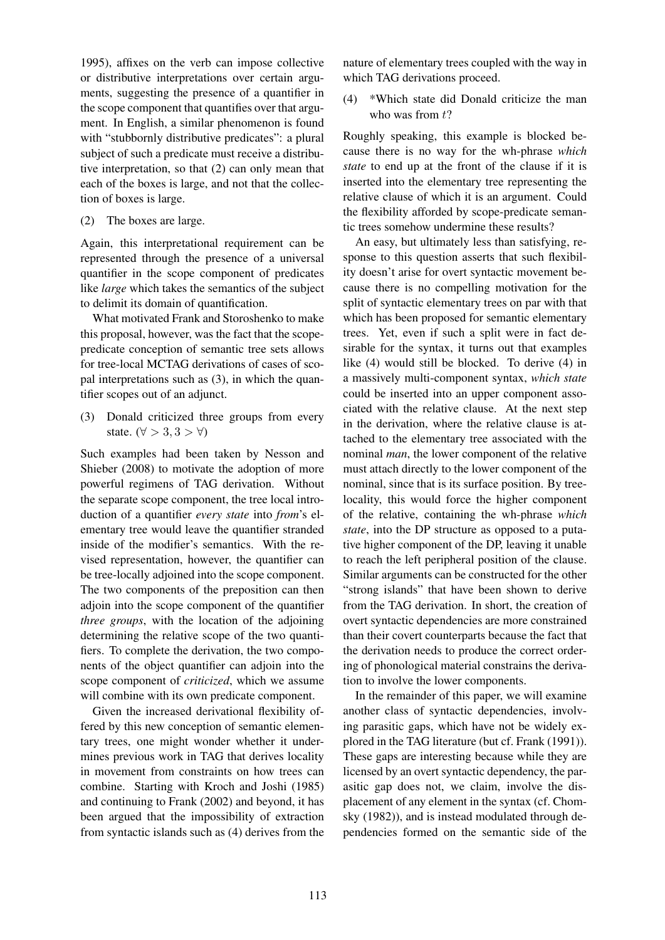1995), affixes on the verb can impose collective or distributive interpretations over certain arguments, suggesting the presence of a quantifier in the scope component that quantifies over that argument. In English, a similar phenomenon is found with "stubbornly distributive predicates": a plural subject of such a predicate must receive a distributive interpretation, so that (2) can only mean that each of the boxes is large, and not that the collection of boxes is large.

(2) The boxes are large.

Again, this interpretational requirement can be represented through the presence of a universal quantifier in the scope component of predicates like *large* which takes the semantics of the subject to delimit its domain of quantification.

What motivated Frank and Storoshenko to make this proposal, however, was the fact that the scopepredicate conception of semantic tree sets allows for tree-local MCTAG derivations of cases of scopal interpretations such as (3), in which the quantifier scopes out of an adjunct.

(3) Donald criticized three groups from every state. ( $\forall$  > 3, 3 >  $\forall$ )

Such examples had been taken by Nesson and Shieber (2008) to motivate the adoption of more powerful regimens of TAG derivation. Without the separate scope component, the tree local introduction of a quantifier *every state* into *from*'s elementary tree would leave the quantifier stranded inside of the modifier's semantics. With the revised representation, however, the quantifier can be tree-locally adjoined into the scope component. The two components of the preposition can then adjoin into the scope component of the quantifier *three groups*, with the location of the adjoining determining the relative scope of the two quantifiers. To complete the derivation, the two components of the object quantifier can adjoin into the scope component of *criticized*, which we assume will combine with its own predicate component.

Given the increased derivational flexibility offered by this new conception of semantic elementary trees, one might wonder whether it undermines previous work in TAG that derives locality in movement from constraints on how trees can combine. Starting with Kroch and Joshi (1985) and continuing to Frank (2002) and beyond, it has been argued that the impossibility of extraction from syntactic islands such as (4) derives from the nature of elementary trees coupled with the way in which TAG derivations proceed.

(4) \*Which state did Donald criticize the man who was from  $t$ ?

Roughly speaking, this example is blocked because there is no way for the wh-phrase *which state* to end up at the front of the clause if it is inserted into the elementary tree representing the relative clause of which it is an argument. Could the flexibility afforded by scope-predicate semantic trees somehow undermine these results?

An easy, but ultimately less than satisfying, response to this question asserts that such flexibility doesn't arise for overt syntactic movement because there is no compelling motivation for the split of syntactic elementary trees on par with that which has been proposed for semantic elementary trees. Yet, even if such a split were in fact desirable for the syntax, it turns out that examples like (4) would still be blocked. To derive (4) in a massively multi-component syntax, *which state* could be inserted into an upper component associated with the relative clause. At the next step in the derivation, where the relative clause is attached to the elementary tree associated with the nominal *man*, the lower component of the relative must attach directly to the lower component of the nominal, since that is its surface position. By treelocality, this would force the higher component of the relative, containing the wh-phrase *which state*, into the DP structure as opposed to a putative higher component of the DP, leaving it unable to reach the left peripheral position of the clause. Similar arguments can be constructed for the other "strong islands" that have been shown to derive from the TAG derivation. In short, the creation of overt syntactic dependencies are more constrained than their covert counterparts because the fact that the derivation needs to produce the correct ordering of phonological material constrains the derivation to involve the lower components.

In the remainder of this paper, we will examine another class of syntactic dependencies, involving parasitic gaps, which have not be widely explored in the TAG literature (but cf. Frank (1991)). These gaps are interesting because while they are licensed by an overt syntactic dependency, the parasitic gap does not, we claim, involve the displacement of any element in the syntax (cf. Chomsky (1982)), and is instead modulated through dependencies formed on the semantic side of the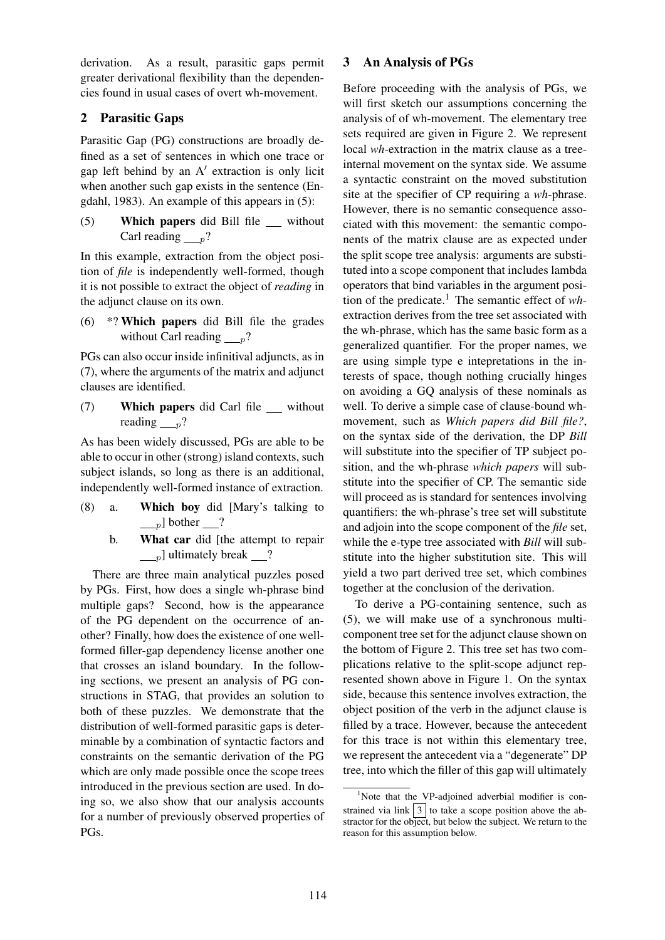derivation. As a result, parasitic gaps permit greater derivational flexibility than the dependencies found in usual cases of overt wh-movement.

# 2 Parasitic Gaps

Parasitic Gap (PG) constructions are broadly defined as a set of sentences in which one trace or gap left behind by an A′ extraction is only licit when another such gap exists in the sentence (Engdahl, 1983). An example of this appears in (5):

(5) Which papers did Bill file without Carl reading  $p$ ?

In this example, extraction from the object position of *file* is independently well-formed, though it is not possible to extract the object of *reading* in the adjunct clause on its own.

(6) \*? Which papers did Bill file the grades without Carl reading  $p$ ?

PGs can also occur inside infinitival adjuncts, as in (7), where the arguments of the matrix and adjunct clauses are identified.

(7) Which papers did Carl file without reading  $n$ ?

As has been widely discussed, PGs are able to be able to occur in other (strong) island contexts, such subject islands, so long as there is an additional, independently well-formed instance of extraction.

- (8) a. Which boy did [Mary's talking to  $_{p}$ ] bother ?
	- b. What car did [the attempt to repair  $\Box_p$ ] ultimately break  $\Box$ ?

There are three main analytical puzzles posed by PGs. First, how does a single wh-phrase bind multiple gaps? Second, how is the appearance of the PG dependent on the occurrence of another? Finally, how does the existence of one wellformed filler-gap dependency license another one that crosses an island boundary. In the following sections, we present an analysis of PG constructions in STAG, that provides an solution to both of these puzzles. We demonstrate that the distribution of well-formed parasitic gaps is determinable by a combination of syntactic factors and constraints on the semantic derivation of the PG which are only made possible once the scope trees introduced in the previous section are used. In doing so, we also show that our analysis accounts for a number of previously observed properties of PGs.

## 3 An Analysis of PGs

Before proceeding with the analysis of PGs, we will first sketch our assumptions concerning the analysis of of wh-movement. The elementary tree sets required are given in Figure 2. We represent local *wh*-extraction in the matrix clause as a treeinternal movement on the syntax side. We assume a syntactic constraint on the moved substitution site at the specifier of CP requiring a *wh*-phrase. However, there is no semantic consequence associated with this movement: the semantic components of the matrix clause are as expected under the split scope tree analysis: arguments are substituted into a scope component that includes lambda operators that bind variables in the argument position of the predicate.<sup>1</sup> The semantic effect of *wh*extraction derives from the tree set associated with the wh-phrase, which has the same basic form as a generalized quantifier. For the proper names, we are using simple type e intepretations in the interests of space, though nothing crucially hinges on avoiding a GQ analysis of these nominals as well. To derive a simple case of clause-bound whmovement, such as *Which papers did Bill file?*, on the syntax side of the derivation, the DP *Bill* will substitute into the specifier of TP subject position, and the wh-phrase *which papers* will substitute into the specifier of CP. The semantic side will proceed as is standard for sentences involving quantifiers: the wh-phrase's tree set will substitute and adjoin into the scope component of the *file* set, while the e-type tree associated with *Bill* will substitute into the higher substitution site. This will yield a two part derived tree set, which combines together at the conclusion of the derivation.

To derive a PG-containing sentence, such as (5), we will make use of a synchronous multicomponent tree set for the adjunct clause shown on the bottom of Figure 2. This tree set has two complications relative to the split-scope adjunct represented shown above in Figure 1. On the syntax side, because this sentence involves extraction, the object position of the verb in the adjunct clause is filled by a trace. However, because the antecedent for this trace is not within this elementary tree, we represent the antecedent via a "degenerate" DP tree, into which the filler of this gap will ultimately

<sup>&</sup>lt;sup>1</sup>Note that the VP-adjoined adverbial modifier is constrained via link  $\vert 3 \vert$  to take a scope position above the abstractor for the object, but below the subject. We return to the reason for this assumption below.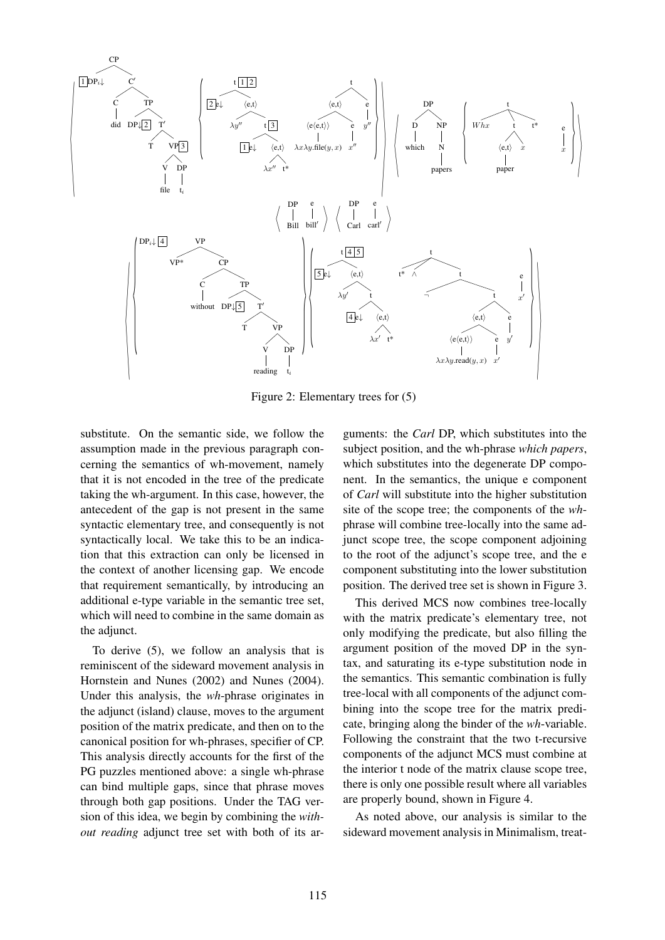

Figure 2: Elementary trees for (5)

substitute. On the semantic side, we follow the assumption made in the previous paragraph concerning the semantics of wh-movement, namely that it is not encoded in the tree of the predicate taking the wh-argument. In this case, however, the antecedent of the gap is not present in the same syntactic elementary tree, and consequently is not syntactically local. We take this to be an indication that this extraction can only be licensed in the context of another licensing gap. We encode that requirement semantically, by introducing an additional e-type variable in the semantic tree set, which will need to combine in the same domain as the adjunct.

To derive (5), we follow an analysis that is reminiscent of the sideward movement analysis in Hornstein and Nunes (2002) and Nunes (2004). Under this analysis, the *wh*-phrase originates in the adjunct (island) clause, moves to the argument position of the matrix predicate, and then on to the canonical position for wh-phrases, specifier of CP. This analysis directly accounts for the first of the PG puzzles mentioned above: a single wh-phrase can bind multiple gaps, since that phrase moves through both gap positions. Under the TAG version of this idea, we begin by combining the *without reading* adjunct tree set with both of its ar-

guments: the *Carl* DP, which substitutes into the subject position, and the wh-phrase *which papers*, which substitutes into the degenerate DP component. In the semantics, the unique e component of *Carl* will substitute into the higher substitution site of the scope tree; the components of the *wh*phrase will combine tree-locally into the same adjunct scope tree, the scope component adjoining to the root of the adjunct's scope tree, and the e component substituting into the lower substitution position. The derived tree set is shown in Figure 3.

This derived MCS now combines tree-locally with the matrix predicate's elementary tree, not only modifying the predicate, but also filling the argument position of the moved DP in the syntax, and saturating its e-type substitution node in the semantics. This semantic combination is fully tree-local with all components of the adjunct combining into the scope tree for the matrix predicate, bringing along the binder of the *wh*-variable. Following the constraint that the two t-recursive components of the adjunct MCS must combine at the interior t node of the matrix clause scope tree, there is only one possible result where all variables are properly bound, shown in Figure 4.

As noted above, our analysis is similar to the sideward movement analysis in Minimalism, treat-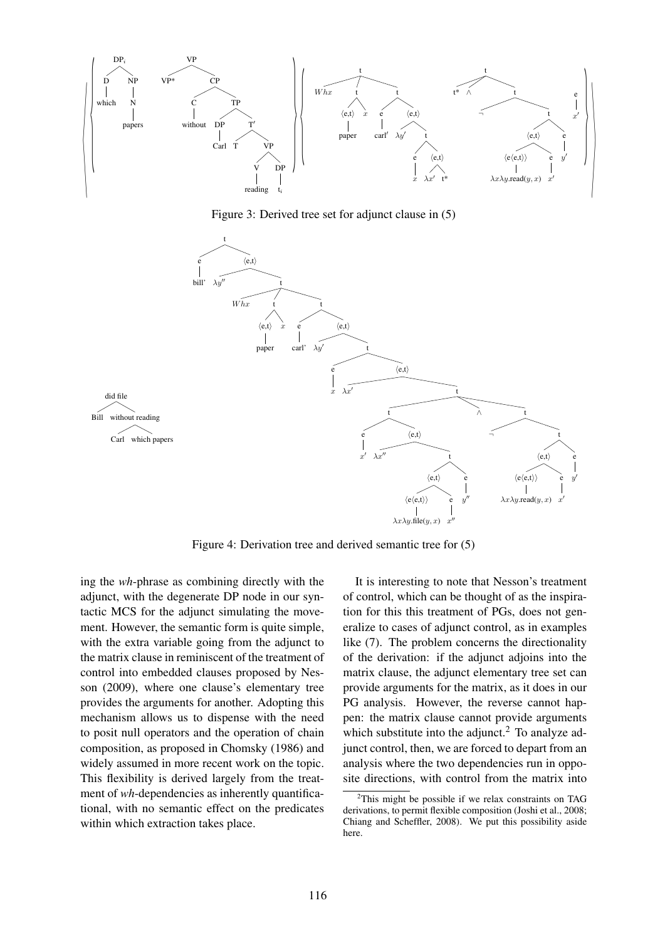

Figure 3: Derived tree set for adjunct clause in (5)



Figure 4: Derivation tree and derived semantic tree for (5)

ing the *wh*-phrase as combining directly with the adjunct, with the degenerate DP node in our syntactic MCS for the adjunct simulating the movement. However, the semantic form is quite simple, with the extra variable going from the adjunct to the matrix clause in reminiscent of the treatment of control into embedded clauses proposed by Nesson (2009), where one clause's elementary tree provides the arguments for another. Adopting this mechanism allows us to dispense with the need to posit null operators and the operation of chain composition, as proposed in Chomsky (1986) and widely assumed in more recent work on the topic. This flexibility is derived largely from the treatment of *wh*-dependencies as inherently quantificational, with no semantic effect on the predicates within which extraction takes place.

It is interesting to note that Nesson's treatment of control, which can be thought of as the inspiration for this this treatment of PGs, does not generalize to cases of adjunct control, as in examples like (7). The problem concerns the directionality of the derivation: if the adjunct adjoins into the matrix clause, the adjunct elementary tree set can provide arguments for the matrix, as it does in our PG analysis. However, the reverse cannot happen: the matrix clause cannot provide arguments which substitute into the adjunct. $^{2}$  To analyze adjunct control, then, we are forced to depart from an analysis where the two dependencies run in opposite directions, with control from the matrix into

 $2$ This might be possible if we relax constraints on TAG derivations, to permit flexible composition (Joshi et al., 2008; Chiang and Scheffler, 2008). We put this possibility aside here.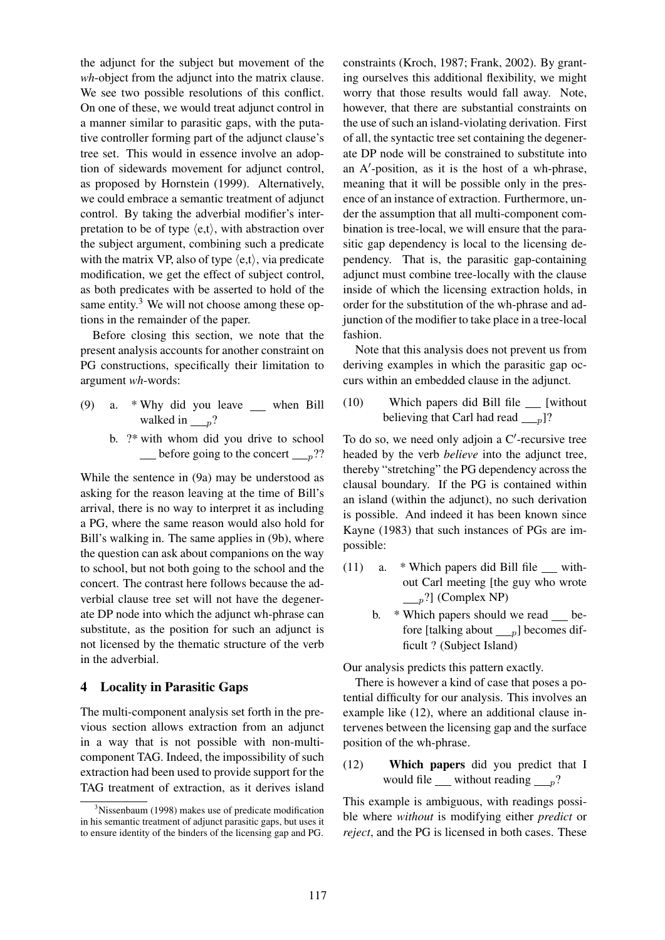the adjunct for the subject but movement of the *wh*-object from the adjunct into the matrix clause. We see two possible resolutions of this conflict. On one of these, we would treat adjunct control in a manner similar to parasitic gaps, with the putative controller forming part of the adjunct clause's tree set. This would in essence involve an adoption of sidewards movement for adjunct control, as proposed by Hornstein (1999). Alternatively, we could embrace a semantic treatment of adjunct control. By taking the adverbial modifier's interpretation to be of type  $\langle e, t \rangle$ , with abstraction over the subject argument, combining such a predicate with the matrix VP, also of type  $\langle e, t \rangle$ , via predicate modification, we get the effect of subject control, as both predicates with be asserted to hold of the same entity.<sup>3</sup> We will not choose among these options in the remainder of the paper.

Before closing this section, we note that the present analysis accounts for another constraint on PG constructions, specifically their limitation to argument *wh*-words:

- (9) a. \* Why did you leave  $\qquad$  when Bill walked in  $_{p}$ ?
	- b. ?\* with whom did you drive to school  $\equiv$  before going to the concert  $\equiv$   $\frac{p??}{p?}$

While the sentence in (9a) may be understood as asking for the reason leaving at the time of Bill's arrival, there is no way to interpret it as including a PG, where the same reason would also hold for Bill's walking in. The same applies in (9b), where the question can ask about companions on the way to school, but not both going to the school and the concert. The contrast here follows because the adverbial clause tree set will not have the degenerate DP node into which the adjunct wh-phrase can substitute, as the position for such an adjunct is not licensed by the thematic structure of the verb in the adverbial.

### 4 Locality in Parasitic Gaps

The multi-component analysis set forth in the previous section allows extraction from an adjunct in a way that is not possible with non-multicomponent TAG. Indeed, the impossibility of such extraction had been used to provide support for the TAG treatment of extraction, as it derives island

constraints (Kroch, 1987; Frank, 2002). By granting ourselves this additional flexibility, we might worry that those results would fall away. Note, however, that there are substantial constraints on the use of such an island-violating derivation. First of all, the syntactic tree set containing the degenerate DP node will be constrained to substitute into an A′ -position, as it is the host of a wh-phrase, meaning that it will be possible only in the presence of an instance of extraction. Furthermore, under the assumption that all multi-component combination is tree-local, we will ensure that the parasitic gap dependency is local to the licensing dependency. That is, the parasitic gap-containing adjunct must combine tree-locally with the clause inside of which the licensing extraction holds, in order for the substitution of the wh-phrase and adjunction of the modifier to take place in a tree-local fashion.

Note that this analysis does not prevent us from deriving examples in which the parasitic gap occurs within an embedded clause in the adjunct.

(10) Which papers did Bill file \_\_ [without believing that Carl had read  $_{p}$ ]?

To do so, we need only adjoin a C'-recursive tree headed by the verb *believe* into the adjunct tree, thereby "stretching" the PG dependency across the clausal boundary. If the PG is contained within an island (within the adjunct), no such derivation is possible. And indeed it has been known since Kayne (1983) that such instances of PGs are impossible:

- (11) a.  $*$  Which papers did Bill file  $\equiv$  without Carl meeting [the guy who wrote  $\Box_p$ ?] (Complex NP)
	- b. \* Which papers should we read \_\_ before [talking about  $\boxed{p}$ ] becomes difficult ? (Subject Island)

Our analysis predicts this pattern exactly.

There is however a kind of case that poses a potential difficulty for our analysis. This involves an example like (12), where an additional clause intervenes between the licensing gap and the surface position of the wh-phrase.

(12) Which papers did you predict that I would file <u>without reading  $p$ ?</u>

This example is ambiguous, with readings possible where *without* is modifying either *predict* or *reject*, and the PG is licensed in both cases. These

 $3$ Nissenbaum (1998) makes use of predicate modification in his semantic treatment of adjunct parasitic gaps, but uses it to ensure identity of the binders of the licensing gap and PG.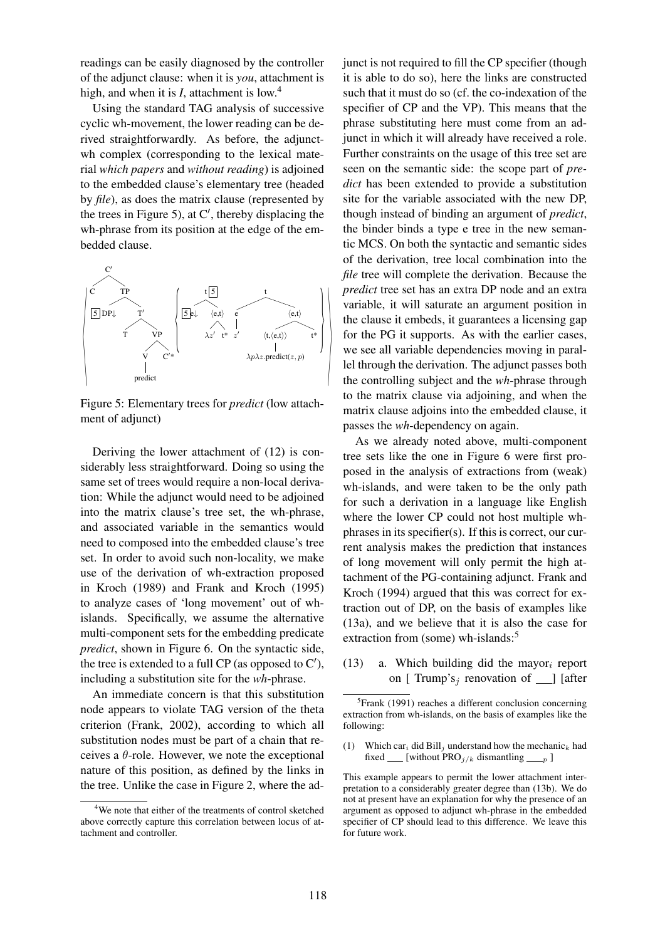readings can be easily diagnosed by the controller of the adjunct clause: when it is *you*, attachment is high, and when it is *I*, attachment is low.<sup>4</sup>

Using the standard TAG analysis of successive cyclic wh-movement, the lower reading can be derived straightforwardly. As before, the adjunctwh complex (corresponding to the lexical material *which papers* and *without reading*) is adjoined to the embedded clause's elementary tree (headed by *file*), as does the matrix clause (represented by the trees in Figure 5), at C′ , thereby displacing the wh-phrase from its position at the edge of the embedded clause.



Figure 5: Elementary trees for *predict* (low attachment of adjunct)

Deriving the lower attachment of (12) is considerably less straightforward. Doing so using the same set of trees would require a non-local derivation: While the adjunct would need to be adjoined into the matrix clause's tree set, the wh-phrase, and associated variable in the semantics would need to composed into the embedded clause's tree set. In order to avoid such non-locality, we make use of the derivation of wh-extraction proposed in Kroch (1989) and Frank and Kroch (1995) to analyze cases of 'long movement' out of whislands. Specifically, we assume the alternative multi-component sets for the embedding predicate *predict*, shown in Figure 6. On the syntactic side, the tree is extended to a full CP (as opposed to  $C'$ ), including a substitution site for the *wh*-phrase.

An immediate concern is that this substitution node appears to violate TAG version of the theta criterion (Frank, 2002), according to which all substitution nodes must be part of a chain that receives a  $\theta$ -role. However, we note the exceptional nature of this position, as defined by the links in the tree. Unlike the case in Figure 2, where the ad-

*predict* tree set has an extra DP node and an extra junct is not required to fill the CP specifier (though it is able to do so), here the links are constructed such that it must do so (cf. the co-indexation of the specifier of CP and the VP). This means that the phrase substituting here must come from an adjunct in which it will already have received a role. Further constraints on the usage of this tree set are seen on the semantic side: the scope part of *predict* has been extended to provide a substitution site for the variable associated with the new DP, though instead of binding an argument of *predict*, the binder binds a type e tree in the new semantic MCS. On both the syntactic and semantic sides of the derivation, tree local combination into the *file* tree will complete the derivation. Because the variable, it will saturate an argument position in the clause it embeds, it guarantees a licensing gap for the PG it supports. As with the earlier cases, we see all variable dependencies moving in parallel through the derivation. The adjunct passes both the controlling subject and the *wh*-phrase through to the matrix clause via adjoining, and when the matrix clause adjoins into the embedded clause, it passes the *wh*-dependency on again.

As we already noted above, multi-component tree sets like the one in Figure 6 were first proposed in the analysis of extractions from (weak) wh-islands, and were taken to be the only path for such a derivation in a language like English where the lower CP could not host multiple whphrases in its specifier(s). If this is correct, our current analysis makes the prediction that instances of long movement will only permit the high attachment of the PG-containing adjunct. Frank and Kroch (1994) argued that this was correct for extraction out of DP, on the basis of examples like (13a), and we believe that it is also the case for extraction from (some) wh-islands:<sup>5</sup>

(13) a. Which building did the mayor<sub>i</sub> report on [ Trump's<sub>i</sub> renovation of  $\Box$  [after

This example appears to permit the lower attachment interpretation to a considerably greater degree than (13b). We do not at present have an explanation for why the presence of an argument as opposed to adjunct wh-phrase in the embedded specifier of CP should lead to this difference. We leave this for future work.

<sup>4</sup>We note that either of the treatments of control sketched above correctly capture this correlation between locus of attachment and controller.

<sup>&</sup>lt;sup>5</sup>Frank (1991) reaches a different conclusion concerning extraction from wh-islands, on the basis of examples like the following:

<sup>(1)</sup> Which car<sub>i</sub> did Bill<sub>i</sub> understand how the mechanic<sub>k</sub> had fixed \_\_ [without PRO<sub>j/k</sub> dismantling  $\_\_p$  ]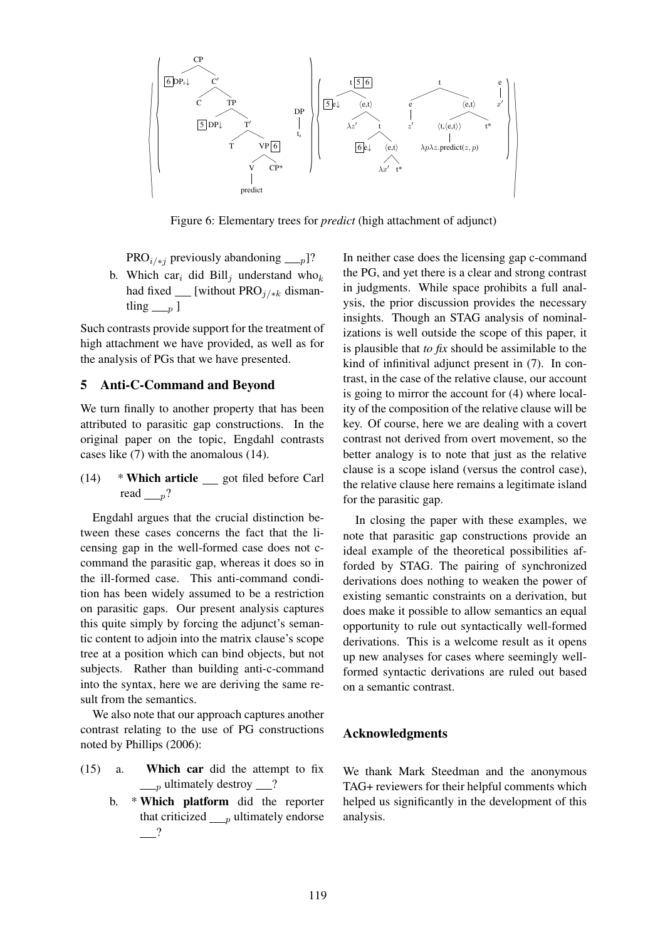

Figure 6: Elementary trees for *predict* (high attachment of adjunct)

PRO<sub>i/\*j</sub> previously abandoning <sub>p</sub>]?

b. Which car<sub>i</sub> did Bill<sub>j</sub> understand who<sub>k</sub> had fixed  $\text{I}$  [without PRO<sub>j/\*k</sub> dismantling  $n \mid$ 

Such contrasts provide support for the treatment of high attachment we have provided, as well as for the analysis of PGs that we have presented.

### 5 Anti-C-Command and Beyond

We turn finally to another property that has been attributed to parasitic gap constructions. In the original paper on the topic, Engdahl contrasts cases like (7) with the anomalous (14).

(14)  $*$  Which article got filed before Carl read  $n$ ?

Engdahl argues that the crucial distinction between these cases concerns the fact that the licensing gap in the well-formed case does not ccommand the parasitic gap, whereas it does so in the ill-formed case. This anti-command condition has been widely assumed to be a restriction on parasitic gaps. Our present analysis captures this quite simply by forcing the adjunct's semantic content to adjoin into the matrix clause's scope tree at a position which can bind objects, but not subjects. Rather than building anti-c-command into the syntax, here we are deriving the same result from the semantics.

We also note that our approach captures another contrast relating to the use of PG constructions noted by Phillips (2006):

- (15) a. Which car did the attempt to fix  $\frac{p}{p}$  ultimately destroy  $\frac{p}{p}$ ?
	- b. \* Which platform did the reporter that criticized  $_{p}$  ultimately endorse  $-$ ?

In neither case does the licensing gap c-command the PG, and yet there is a clear and strong contrast in judgments. While space prohibits a full analysis, the prior discussion provides the necessary insights. Though an STAG analysis of nominalizations is well outside the scope of this paper, it is plausible that *to fix* should be assimilable to the kind of infinitival adjunct present in (7). In contrast, in the case of the relative clause, our account is going to mirror the account for (4) where locality of the composition of the relative clause will be key. Of course, here we are dealing with a covert contrast not derived from overt movement, so the better analogy is to note that just as the relative clause is a scope island (versus the control case), the relative clause here remains a legitimate island for the parasitic gap.

In closing the paper with these examples, we note that parasitic gap constructions provide an ideal example of the theoretical possibilities afforded by STAG. The pairing of synchronized derivations does nothing to weaken the power of existing semantic constraints on a derivation, but does make it possible to allow semantics an equal opportunity to rule out syntactically well-formed derivations. This is a welcome result as it opens up new analyses for cases where seemingly wellformed syntactic derivations are ruled out based on a semantic contrast.

#### Acknowledgments

We thank Mark Steedman and the anonymous TAG+ reviewers for their helpful comments which helped us significantly in the development of this analysis.